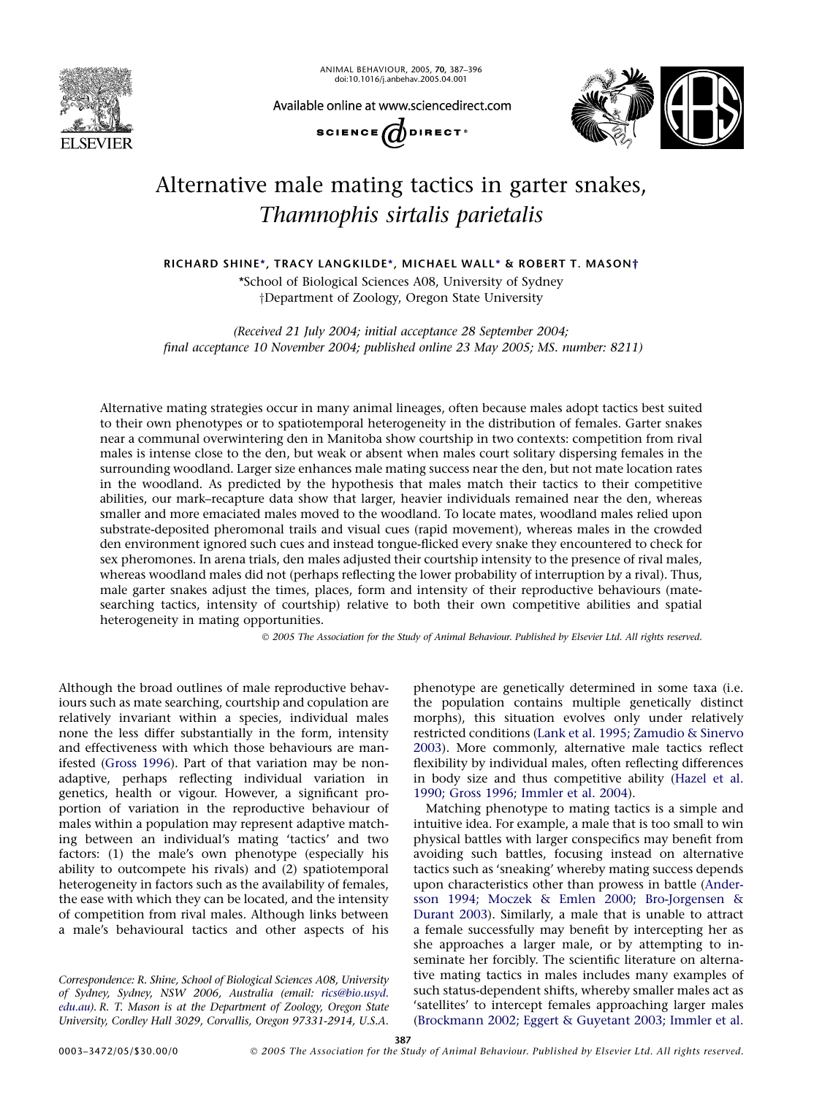

ANIMAL BEHAVIOUR, 2005, 70, 387–396 doi:10.1016/j.anbehav.2005.04.001

Available online at www.sciencedirect.com





# Alternative male mating tactics in garter snakes, Thamnophis sirtalis parietalis

RICHARD SHINE\*, TRACY LANGKILDE\*, MICHAEL WALL\* & ROBERT T. MASON† \*School of Biological Sciences A08, University of Sydney yDepartment of Zoology, Oregon State University

(Received 21 July 2004; initial acceptance 28 September 2004; final acceptance 10 November 2004; published online 23 May 2005; MS. number: 8211)

Alternative mating strategies occur in many animal lineages, often because males adopt tactics best suited to their own phenotypes or to spatiotemporal heterogeneity in the distribution of females. Garter snakes near a communal overwintering den in Manitoba show courtship in two contexts: competition from rival males is intense close to the den, but weak or absent when males court solitary dispersing females in the surrounding woodland. Larger size enhances male mating success near the den, but not mate location rates in the woodland. As predicted by the hypothesis that males match their tactics to their competitive abilities, our mark–recapture data show that larger, heavier individuals remained near the den, whereas smaller and more emaciated males moved to the woodland. To locate mates, woodland males relied upon substrate-deposited pheromonal trails and visual cues (rapid movement), whereas males in the crowded den environment ignored such cues and instead tongue-flicked every snake they encountered to check for sex pheromones. In arena trials, den males adjusted their courtship intensity to the presence of rival males, whereas woodland males did not (perhaps reflecting the lower probability of interruption by a rival). Thus, male garter snakes adjust the times, places, form and intensity of their reproductive behaviours (matesearching tactics, intensity of courtship) relative to both their own competitive abilities and spatial heterogeneity in mating opportunities.

2005 The Association for the Study of Animal Behaviour. Published by Elsevier Ltd. All rights reserved.

Although the broad outlines of male reproductive behaviours such as mate searching, courtship and copulation are relatively invariant within a species, individual males none the less differ substantially in the form, intensity and effectiveness with which those behaviours are manifested [\(Gross 1996\)](#page-8-0). Part of that variation may be nonadaptive, perhaps reflecting individual variation in genetics, health or vigour. However, a significant proportion of variation in the reproductive behaviour of males within a population may represent adaptive matching between an individual's mating 'tactics' and two factors: (1) the male's own phenotype (especially his ability to outcompete his rivals) and (2) spatiotemporal heterogeneity in factors such as the availability of females, the ease with which they can be located, and the intensity of competition from rival males. Although links between a male's behavioural tactics and other aspects of his

Correspondence: R. Shine, School of Biological Sciences A08, University of Sydney, Sydney, NSW 2006, Australia (email: [rics@bio.usyd.](mailto:rics@bio.usyd.<?tjl=20mm?><?tjl?>edu.au) [edu.au](mailto:rics@bio.usyd.<?tjl=20mm?><?tjl?>edu.au)). R. T. Mason is at the Department of Zoology, Oregon State University, Cordley Hall 3029, Corvallis, Oregon 97331-2914, U.S.A.

phenotype are genetically determined in some taxa (i.e. the population contains multiple genetically distinct morphs), this situation evolves only under relatively restricted conditions [\(Lank et al. 1995; Zamudio & Sinervo](#page-8-0) [2003](#page-8-0)). More commonly, alternative male tactics reflect flexibility by individual males, often reflecting differences in body size and thus competitive ability ([Hazel et al.](#page-8-0) [1990; Gross 1996; Immler et al. 2004\)](#page-8-0).

Matching phenotype to mating tactics is a simple and intuitive idea. For example, a male that is too small to win physical battles with larger conspecifics may benefit from avoiding such battles, focusing instead on alternative tactics such as 'sneaking' whereby mating success depends upon characteristics other than prowess in battle ([Ander](#page-8-0)[sson 1994; Moczek & Emlen 2000; Bro-Jorgensen &](#page-8-0) [Durant 2003](#page-8-0)). Similarly, a male that is unable to attract a female successfully may benefit by intercepting her as she approaches a larger male, or by attempting to inseminate her forcibly. The scientific literature on alternative mating tactics in males includes many examples of such status-dependent shifts, whereby smaller males act as 'satellites' to intercept females approaching larger males ([Brockmann 2002; Eggert & Guyetant 2003; Immler et al.](#page-8-0)

387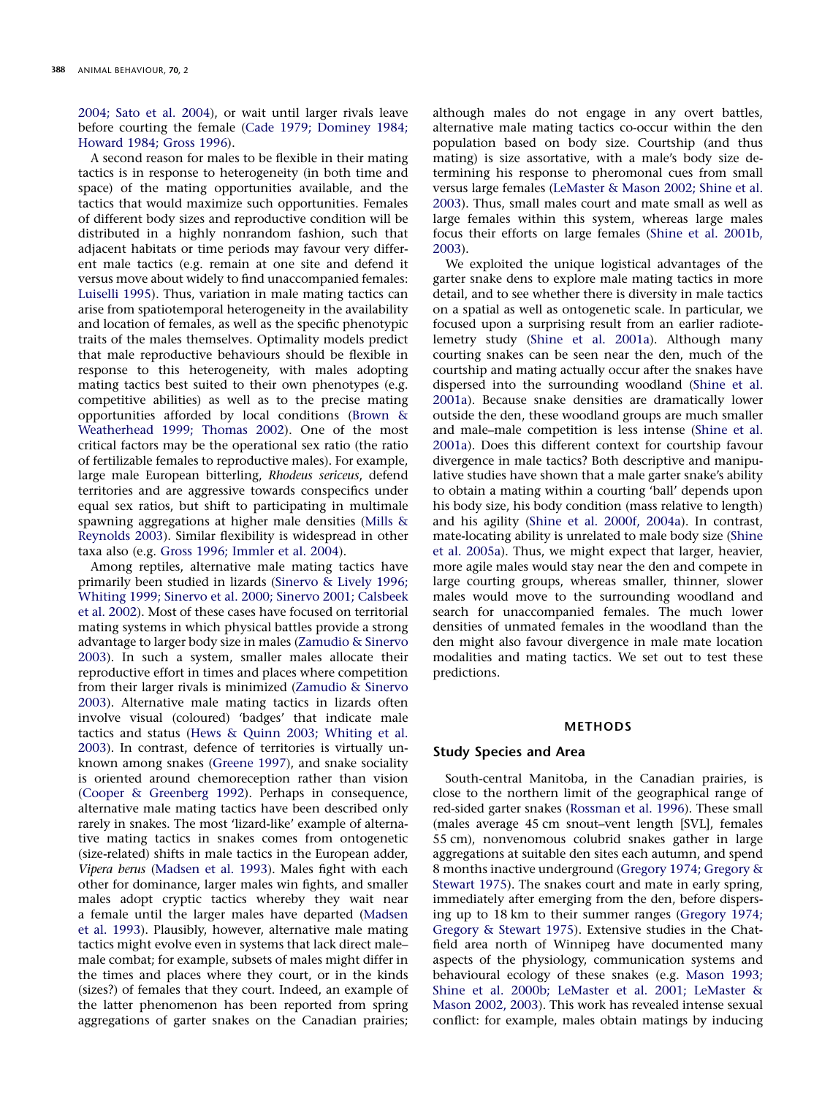[2004; Sato et al. 2004](#page-8-0)), or wait until larger rivals leave before courting the female ([Cade 1979; Dominey 1984;](#page-8-0) [Howard 1984; Gross 1996\)](#page-8-0).

A second reason for males to be flexible in their mating tactics is in response to heterogeneity (in both time and space) of the mating opportunities available, and the tactics that would maximize such opportunities. Females of different body sizes and reproductive condition will be distributed in a highly nonrandom fashion, such that adjacent habitats or time periods may favour very different male tactics (e.g. remain at one site and defend it versus move about widely to find unaccompanied females: [Luiselli 1995\)](#page-9-0). Thus, variation in male mating tactics can arise from spatiotemporal heterogeneity in the availability and location of females, as well as the specific phenotypic traits of the males themselves. Optimality models predict that male reproductive behaviours should be flexible in response to this heterogeneity, with males adopting mating tactics best suited to their own phenotypes (e.g. competitive abilities) as well as to the precise mating opportunities afforded by local conditions [\(Brown &](#page-8-0) [Weatherhead 1999; Thomas 2002](#page-8-0)). One of the most critical factors may be the operational sex ratio (the ratio of fertilizable females to reproductive males). For example, large male European bitterling, Rhodeus sericeus, defend territories and are aggressive towards conspecifics under equal sex ratios, but shift to participating in multimale spawning aggregations at higher male densities [\(Mills &](#page-9-0) [Reynolds 2003](#page-9-0)). Similar flexibility is widespread in other taxa also (e.g. [Gross 1996; Immler et al. 2004\)](#page-8-0).

Among reptiles, alternative male mating tactics have primarily been studied in lizards [\(Sinervo & Lively 1996;](#page-9-0) [Whiting 1999; Sinervo et al. 2000; Sinervo 2001; Calsbeek](#page-9-0) [et al. 2002](#page-9-0)). Most of these cases have focused on territorial mating systems in which physical battles provide a strong advantage to larger body size in males [\(Zamudio & Sinervo](#page-9-0) [2003](#page-9-0)). In such a system, smaller males allocate their reproductive effort in times and places where competition from their larger rivals is minimized [\(Zamudio & Sinervo](#page-9-0) [2003](#page-9-0)). Alternative male mating tactics in lizards often involve visual (coloured) 'badges' that indicate male tactics and status [\(Hews & Quinn 2003; Whiting et al.](#page-8-0) [2003](#page-8-0)). In contrast, defence of territories is virtually unknown among snakes [\(Greene 1997](#page-8-0)), and snake sociality is oriented around chemoreception rather than vision ([Cooper & Greenberg 1992](#page-8-0)). Perhaps in consequence, alternative male mating tactics have been described only rarely in snakes. The most 'lizard-like' example of alternative mating tactics in snakes comes from ontogenetic (size-related) shifts in male tactics in the European adder, Vipera berus [\(Madsen et al. 1993\)](#page-9-0). Males fight with each other for dominance, larger males win fights, and smaller males adopt cryptic tactics whereby they wait near a female until the larger males have departed [\(Madsen](#page-9-0) [et al. 1993\)](#page-9-0). Plausibly, however, alternative male mating tactics might evolve even in systems that lack direct male– male combat; for example, subsets of males might differ in the times and places where they court, or in the kinds (sizes?) of females that they court. Indeed, an example of the latter phenomenon has been reported from spring aggregations of garter snakes on the Canadian prairies;

although males do not engage in any overt battles, alternative male mating tactics co-occur within the den population based on body size. Courtship (and thus mating) is size assortative, with a male's body size determining his response to pheromonal cues from small versus large females ([LeMaster & Mason 2002; Shine et al.](#page-8-0) [2003](#page-8-0)). Thus, small males court and mate small as well as large females within this system, whereas large males focus their efforts on large females [\(Shine et al. 2001b,](#page-9-0) [2003](#page-9-0)).

We exploited the unique logistical advantages of the garter snake dens to explore male mating tactics in more detail, and to see whether there is diversity in male tactics on a spatial as well as ontogenetic scale. In particular, we focused upon a surprising result from an earlier radiotelemetry study [\(Shine et al. 2001a\)](#page-9-0). Although many courting snakes can be seen near the den, much of the courtship and mating actually occur after the snakes have dispersed into the surrounding woodland [\(Shine et al.](#page-9-0) [2001a\)](#page-9-0). Because snake densities are dramatically lower outside the den, these woodland groups are much smaller and male–male competition is less intense ([Shine et al.](#page-9-0) [2001a\)](#page-9-0). Does this different context for courtship favour divergence in male tactics? Both descriptive and manipulative studies have shown that a male garter snake's ability to obtain a mating within a courting 'ball' depends upon his body size, his body condition (mass relative to length) and his agility ([Shine et al. 2000f, 2004a](#page-9-0)). In contrast, mate-locating ability is unrelated to male body size [\(Shine](#page-9-0) [et al. 2005a\)](#page-9-0). Thus, we might expect that larger, heavier, more agile males would stay near the den and compete in large courting groups, whereas smaller, thinner, slower males would move to the surrounding woodland and search for unaccompanied females. The much lower densities of unmated females in the woodland than the den might also favour divergence in male mate location modalities and mating tactics. We set out to test these predictions.

#### METHODS

## Study Species and Area

South-central Manitoba, in the Canadian prairies, is close to the northern limit of the geographical range of red-sided garter snakes ([Rossman et al. 1996\)](#page-9-0). These small (males average 45 cm snout–vent length [SVL], females 55 cm), nonvenomous colubrid snakes gather in large aggregations at suitable den sites each autumn, and spend 8 months inactive underground ([Gregory 1974; Gregory &](#page-8-0) [Stewart 1975](#page-8-0)). The snakes court and mate in early spring, immediately after emerging from the den, before dispersing up to 18 km to their summer ranges ([Gregory 1974;](#page-8-0) [Gregory & Stewart 1975\)](#page-8-0). Extensive studies in the Chatfield area north of Winnipeg have documented many aspects of the physiology, communication systems and behavioural ecology of these snakes (e.g. [Mason 1993;](#page-9-0) [Shine et al. 2000b; LeMaster et al. 2001; LeMaster &](#page-9-0) [Mason 2002, 2003](#page-9-0)). This work has revealed intense sexual conflict: for example, males obtain matings by inducing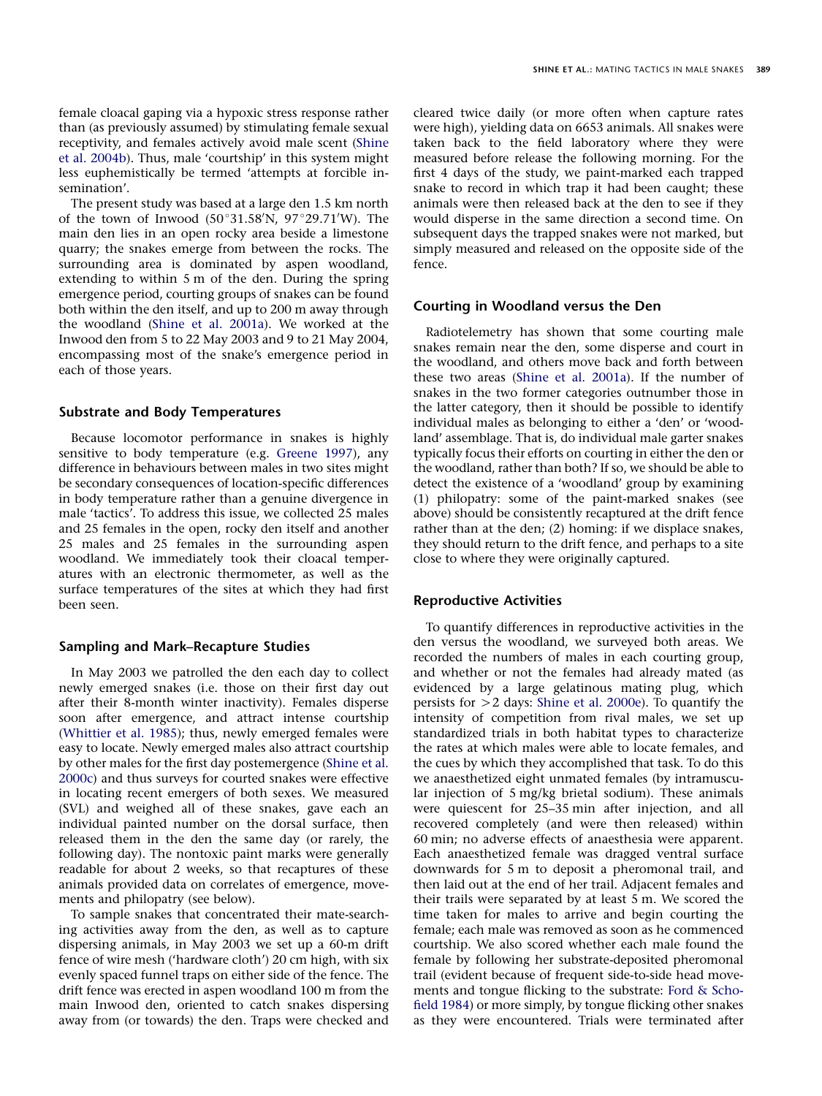female cloacal gaping via a hypoxic stress response rather than (as previously assumed) by stimulating female sexual receptivity, and females actively avoid male scent [\(Shine](#page-9-0) [et al. 2004b](#page-9-0)). Thus, male 'courtship' in this system might less euphemistically be termed 'attempts at forcible insemination'.

The present study was based at a large den 1.5 km north of the town of Inwood  $(50^{\circ}31.58^{\prime}N, 97^{\circ}29.71^{\prime}W)$ . The main den lies in an open rocky area beside a limestone quarry; the snakes emerge from between the rocks. The surrounding area is dominated by aspen woodland, extending to within 5 m of the den. During the spring emergence period, courting groups of snakes can be found both within the den itself, and up to 200 m away through the woodland [\(Shine et al. 2001a](#page-9-0)). We worked at the Inwood den from 5 to 22 May 2003 and 9 to 21 May 2004, encompassing most of the snake's emergence period in each of those years.

## Substrate and Body Temperatures

Because locomotor performance in snakes is highly sensitive to body temperature (e.g. [Greene 1997\)](#page-8-0), any difference in behaviours between males in two sites might be secondary consequences of location-specific differences in body temperature rather than a genuine divergence in male 'tactics'. To address this issue, we collected 25 males and 25 females in the open, rocky den itself and another 25 males and 25 females in the surrounding aspen woodland. We immediately took their cloacal temperatures with an electronic thermometer, as well as the surface temperatures of the sites at which they had first been seen.

## Sampling and Mark–Recapture Studies

In May 2003 we patrolled the den each day to collect newly emerged snakes (i.e. those on their first day out after their 8-month winter inactivity). Females disperse soon after emergence, and attract intense courtship ([Whittier et al. 1985](#page-9-0)); thus, newly emerged females were easy to locate. Newly emerged males also attract courtship by other males for the first day postemergence ([Shine et al.](#page-9-0) [2000c](#page-9-0)) and thus surveys for courted snakes were effective in locating recent emergers of both sexes. We measured (SVL) and weighed all of these snakes, gave each an individual painted number on the dorsal surface, then released them in the den the same day (or rarely, the following day). The nontoxic paint marks were generally readable for about 2 weeks, so that recaptures of these animals provided data on correlates of emergence, movements and philopatry (see below).

To sample snakes that concentrated their mate-searching activities away from the den, as well as to capture dispersing animals, in May 2003 we set up a 60-m drift fence of wire mesh ('hardware cloth') 20 cm high, with six evenly spaced funnel traps on either side of the fence. The drift fence was erected in aspen woodland 100 m from the main Inwood den, oriented to catch snakes dispersing away from (or towards) the den. Traps were checked and

cleared twice daily (or more often when capture rates were high), yielding data on 6653 animals. All snakes were taken back to the field laboratory where they were measured before release the following morning. For the first 4 days of the study, we paint-marked each trapped snake to record in which trap it had been caught; these animals were then released back at the den to see if they would disperse in the same direction a second time. On subsequent days the trapped snakes were not marked, but simply measured and released on the opposite side of the fence.

# Courting in Woodland versus the Den

Radiotelemetry has shown that some courting male snakes remain near the den, some disperse and court in the woodland, and others move back and forth between these two areas [\(Shine et al. 2001a\)](#page-9-0). If the number of snakes in the two former categories outnumber those in the latter category, then it should be possible to identify individual males as belonging to either a 'den' or 'woodland' assemblage. That is, do individual male garter snakes typically focus their efforts on courting in either the den or the woodland, rather than both? If so, we should be able to detect the existence of a 'woodland' group by examining (1) philopatry: some of the paint-marked snakes (see above) should be consistently recaptured at the drift fence rather than at the den; (2) homing: if we displace snakes, they should return to the drift fence, and perhaps to a site close to where they were originally captured.

## Reproductive Activities

To quantify differences in reproductive activities in the den versus the woodland, we surveyed both areas. We recorded the numbers of males in each courting group, and whether or not the females had already mated (as evidenced by a large gelatinous mating plug, which persists for  $>$  2 days: [Shine et al. 2000e\)](#page-9-0). To quantify the intensity of competition from rival males, we set up standardized trials in both habitat types to characterize the rates at which males were able to locate females, and the cues by which they accomplished that task. To do this we anaesthetized eight unmated females (by intramuscular injection of 5 mg/kg brietal sodium). These animals were quiescent for 25–35 min after injection, and all recovered completely (and were then released) within 60 min; no adverse effects of anaesthesia were apparent. Each anaesthetized female was dragged ventral surface downwards for 5 m to deposit a pheromonal trail, and then laid out at the end of her trail. Adjacent females and their trails were separated by at least 5 m. We scored the time taken for males to arrive and begin courting the female; each male was removed as soon as he commenced courtship. We also scored whether each male found the female by following her substrate-deposited pheromonal trail (evident because of frequent side-to-side head movements and tongue flicking to the substrate: [Ford & Scho](#page-8-0)[field 1984](#page-8-0)) or more simply, by tongue flicking other snakes as they were encountered. Trials were terminated after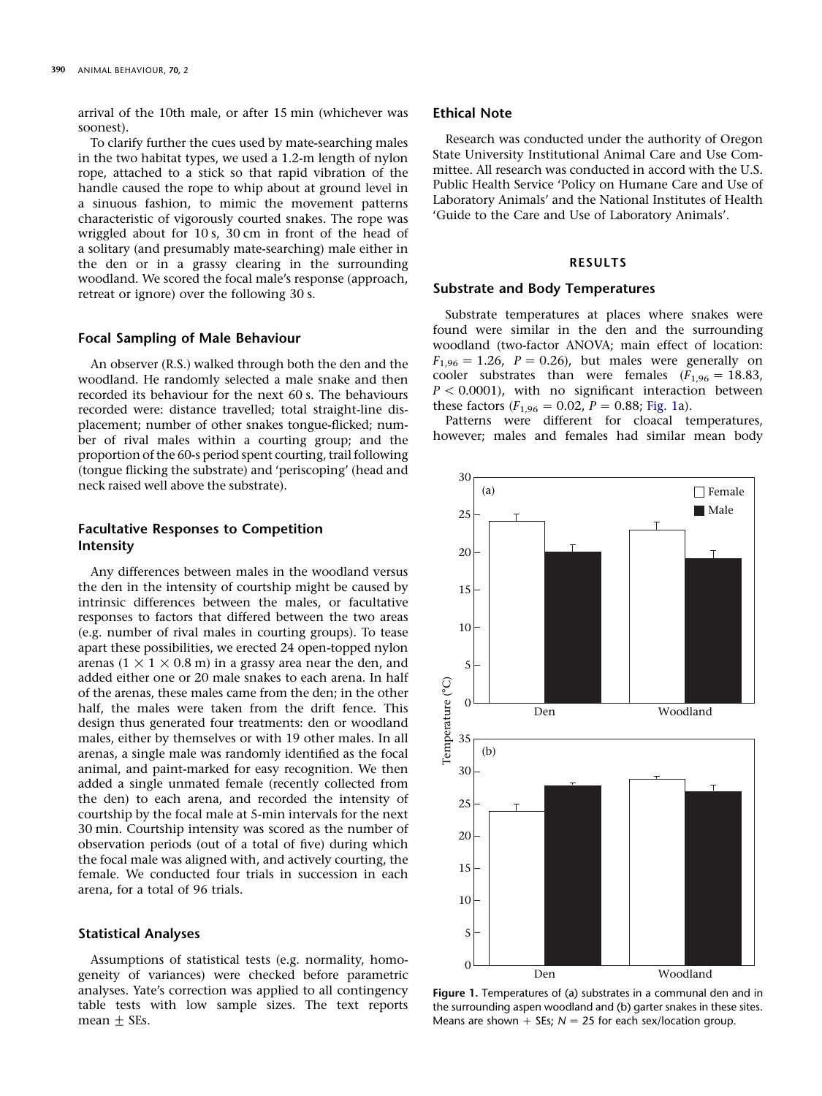<span id="page-3-0"></span>arrival of the 10th male, or after 15 min (whichever was soonest).

To clarify further the cues used by mate-searching males in the two habitat types, we used a 1.2-m length of nylon rope, attached to a stick so that rapid vibration of the handle caused the rope to whip about at ground level in a sinuous fashion, to mimic the movement patterns characteristic of vigorously courted snakes. The rope was wriggled about for 10 s, 30 cm in front of the head of a solitary (and presumably mate-searching) male either in the den or in a grassy clearing in the surrounding woodland. We scored the focal male's response (approach, retreat or ignore) over the following 30 s.

#### Focal Sampling of Male Behaviour

An observer (R.S.) walked through both the den and the woodland. He randomly selected a male snake and then recorded its behaviour for the next 60 s. The behaviours recorded were: distance travelled; total straight-line displacement; number of other snakes tongue-flicked; number of rival males within a courting group; and the proportion of the 60-s period spent courting, trail following (tongue flicking the substrate) and 'periscoping' (head and neck raised well above the substrate).

## Facultative Responses to Competition Intensity

Any differences between males in the woodland versus the den in the intensity of courtship might be caused by intrinsic differences between the males, or facultative responses to factors that differed between the two areas (e.g. number of rival males in courting groups). To tease apart these possibilities, we erected 24 open-topped nylon arenas ( $1 \times 1 \times 0.8$  m) in a grassy area near the den, and added either one or 20 male snakes to each arena. In half of the arenas, these males came from the den; in the other half, the males were taken from the drift fence. This design thus generated four treatments: den or woodland males, either by themselves or with 19 other males. In all arenas, a single male was randomly identified as the focal animal, and paint-marked for easy recognition. We then added a single unmated female (recently collected from the den) to each arena, and recorded the intensity of courtship by the focal male at 5-min intervals for the next 30 min. Courtship intensity was scored as the number of observation periods (out of a total of five) during which the focal male was aligned with, and actively courting, the female. We conducted four trials in succession in each arena, for a total of 96 trials.

#### Statistical Analyses

Assumptions of statistical tests (e.g. normality, homogeneity of variances) were checked before parametric analyses. Yate's correction was applied to all contingency table tests with low sample sizes. The text reports  $mean + SEs$ .

#### Ethical Note

Research was conducted under the authority of Oregon State University Institutional Animal Care and Use Committee. All research was conducted in accord with the U.S. Public Health Service 'Policy on Humane Care and Use of Laboratory Animals' and the National Institutes of Health 'Guide to the Care and Use of Laboratory Animals'.

## RESULTS

## Substrate and Body Temperatures

Substrate temperatures at places where snakes were found were similar in the den and the surrounding woodland (two-factor ANOVA; main effect of location:  $F_{1,96} = 1.26$ ,  $P = 0.26$ ), but males were generally on cooler substrates than were females  $(F_{1,96} = 18.83,$  $P < 0.0001$ ), with no significant interaction between these factors ( $F_{1,96} = 0.02$ ,  $P = 0.88$ ; Fig. 1a).

Patterns were different for cloacal temperatures, however; males and females had similar mean body



Figure 1. Temperatures of (a) substrates in a communal den and in the surrounding aspen woodland and (b) garter snakes in these sites. Means are shown + SEs;  $N = 25$  for each sex/location group.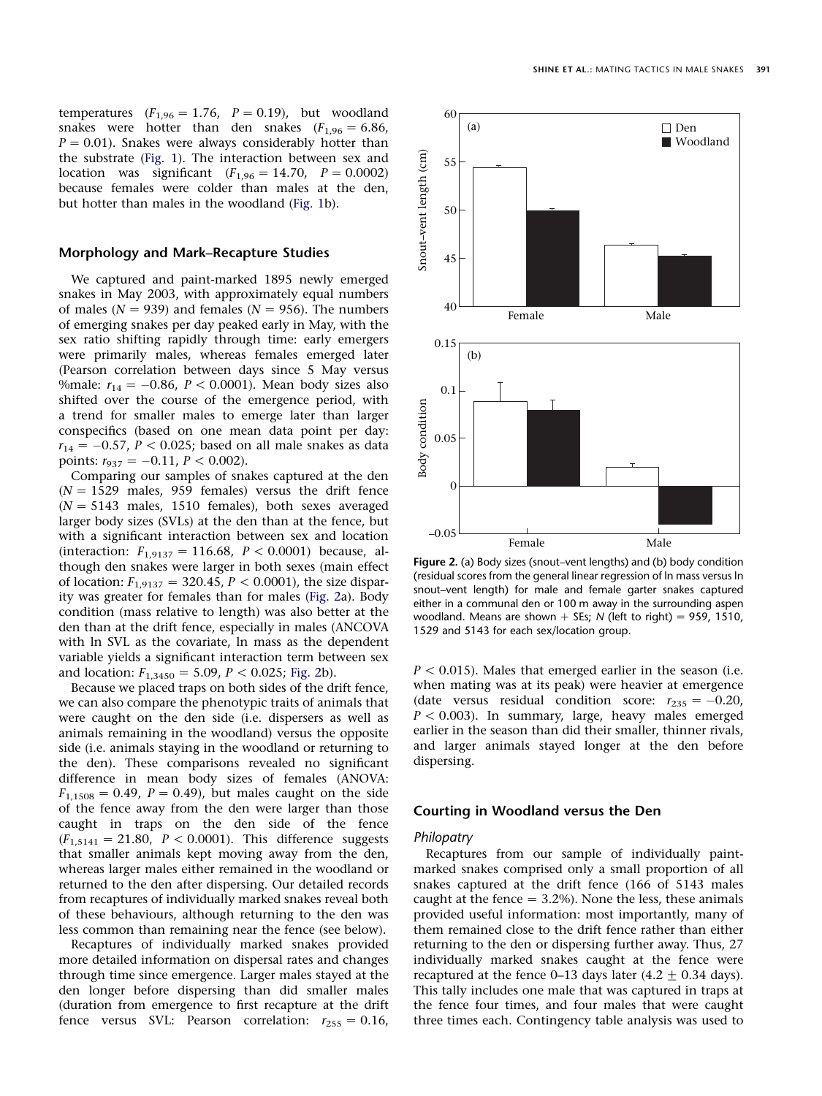temperatures  $(F_{1,96} = 1.76, P = 0.19)$ , but woodland snakes were hotter than den snakes ( $F_{1,96} = 6.86$ ,  $P = 0.01$ ). Snakes were always considerably hotter than the substrate ([Fig. 1\)](#page-3-0). The interaction between sex and location was significant  $(F_{1,96} = 14.70, P = 0.0002)$ because females were colder than males at the den, but hotter than males in the woodland [\(Fig. 1](#page-3-0)b).

#### Morphology and Mark–Recapture Studies

We captured and paint-marked 1895 newly emerged snakes in May 2003, with approximately equal numbers of males ( $N = 939$ ) and females ( $N = 956$ ). The numbers of emerging snakes per day peaked early in May, with the sex ratio shifting rapidly through time: early emergers were primarily males, whereas females emerged later (Pearson correlation between days since 5 May versus %male:  $r_{14} = -0.86$ ,  $P < 0.0001$ ). Mean body sizes also shifted over the course of the emergence period, with a trend for smaller males to emerge later than larger conspecifics (based on one mean data point per day:  $r_{14} = -0.57$ ,  $P < 0.025$ ; based on all male snakes as data points:  $r_{937} = -0.11$ ,  $P < 0.002$ ).

Comparing our samples of snakes captured at the den  $(N = 1529)$  males, 959 females) versus the drift fence  $(N = 5143$  males, 1510 females), both sexes averaged larger body sizes (SVLs) at the den than at the fence, but with a significant interaction between sex and location (interaction:  $F_{1,9137} = 116.68$ ,  $P < 0.0001$ ) because, although den snakes were larger in both sexes (main effect of location:  $F_{1,9137} = 320.45$ ,  $P < 0.0001$ ), the size disparity was greater for females than for males (Fig. 2a). Body condition (mass relative to length) was also better at the den than at the drift fence, especially in males (ANCOVA with ln SVL as the covariate, ln mass as the dependent variable yields a significant interaction term between sex and location:  $F_{1,3450} = 5.09$ ,  $P < 0.025$ ; Fig. 2b).

Because we placed traps on both sides of the drift fence, we can also compare the phenotypic traits of animals that were caught on the den side (i.e. dispersers as well as animals remaining in the woodland) versus the opposite side (i.e. animals staying in the woodland or returning to the den). These comparisons revealed no significant difference in mean body sizes of females (ANOVA:  $F_{1,1508} = 0.49$ ,  $P = 0.49$ ), but males caught on the side of the fence away from the den were larger than those caught in traps on the den side of the fence  $(F_{1,5141} = 21.80, P < 0.0001)$ . This difference suggests that smaller animals kept moving away from the den, whereas larger males either remained in the woodland or returned to the den after dispersing. Our detailed records from recaptures of individually marked snakes reveal both of these behaviours, although returning to the den was less common than remaining near the fence (see below).

Recaptures of individually marked snakes provided more detailed information on dispersal rates and changes through time since emergence. Larger males stayed at the den longer before dispersing than did smaller males (duration from emergence to first recapture at the drift fence versus SVL: Pearson correlation:  $r_{255} = 0.16$ ,



Figure 2. (a) Body sizes (snout–vent lengths) and (b) body condition (residual scores from the general linear regression of ln mass versus ln snout–vent length) for male and female garter snakes captured either in a communal den or 100 m away in the surrounding aspen woodland. Means are shown  $+$  SEs; N (left to right) = 959, 1510, 1529 and 5143 for each sex/location group.

 $P < 0.015$ ). Males that emerged earlier in the season (i.e. when mating was at its peak) were heavier at emergence (date versus residual condition score:  $r_{235} = -0.20$ ,  $P < 0.003$ ). In summary, large, heavy males emerged earlier in the season than did their smaller, thinner rivals, and larger animals stayed longer at the den before dispersing.

#### Courting in Woodland versus the Den

## **Philopatry**

Recaptures from our sample of individually paintmarked snakes comprised only a small proportion of all snakes captured at the drift fence (166 of 5143 males caught at the fence  $= 3.2\%$ ). None the less, these animals provided useful information: most importantly, many of them remained close to the drift fence rather than either returning to the den or dispersing further away. Thus, 27 individually marked snakes caught at the fence were recaptured at the fence 0–13 days later  $(4.2 \pm 0.34$  days). This tally includes one male that was captured in traps at the fence four times, and four males that were caught three times each. Contingency table analysis was used to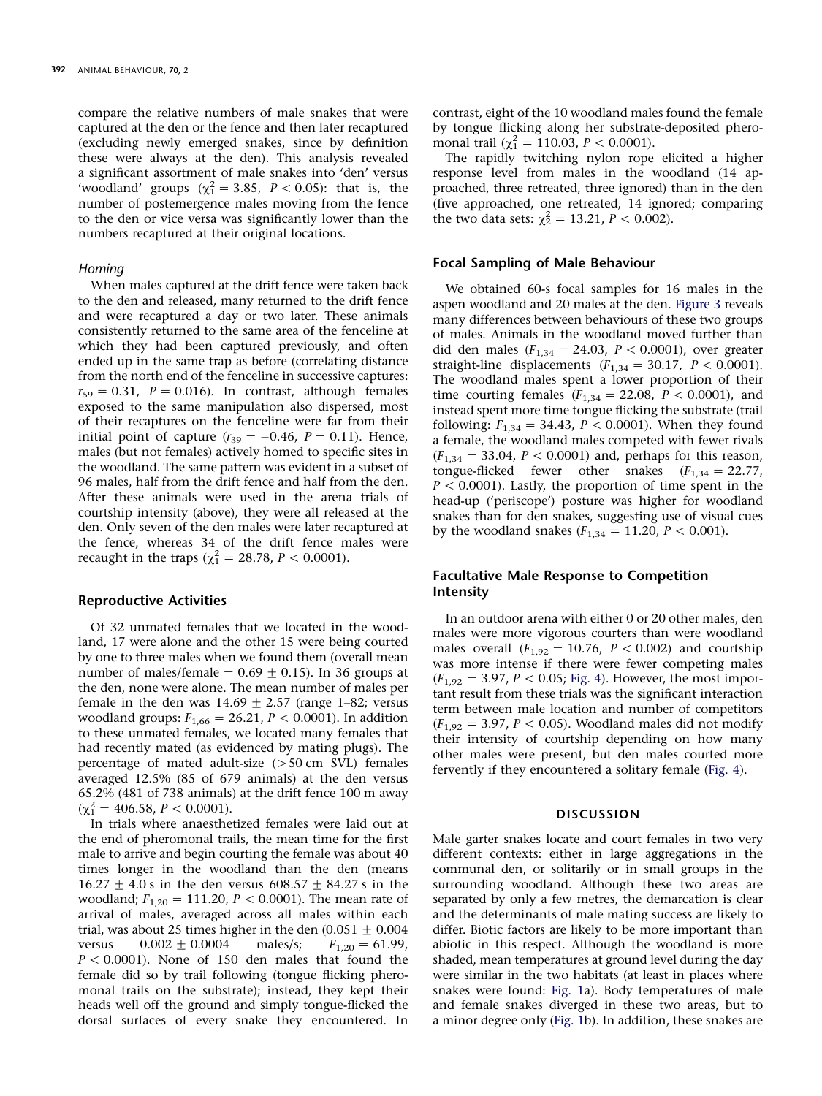compare the relative numbers of male snakes that were captured at the den or the fence and then later recaptured (excluding newly emerged snakes, since by definition these were always at the den). This analysis revealed a significant assortment of male snakes into 'den' versus 'woodland' groups ( $\chi_1^2 = 3.85$ ,  $P < 0.05$ ): that is, the number of postemergence males moving from the fence to the den or vice versa was significantly lower than the numbers recaptured at their original locations.

#### Homing

When males captured at the drift fence were taken back to the den and released, many returned to the drift fence and were recaptured a day or two later. These animals consistently returned to the same area of the fenceline at which they had been captured previously, and often ended up in the same trap as before (correlating distance from the north end of the fenceline in successive captures:  $r_{59} = 0.31$ ,  $P = 0.016$ ). In contrast, although females exposed to the same manipulation also dispersed, most of their recaptures on the fenceline were far from their initial point of capture ( $r_{39} = -0.46$ ,  $P = 0.11$ ). Hence, males (but not females) actively homed to specific sites in the woodland. The same pattern was evident in a subset of 96 males, half from the drift fence and half from the den. After these animals were used in the arena trials of courtship intensity (above), they were all released at the den. Only seven of the den males were later recaptured at the fence, whereas 34 of the drift fence males were recaught in the traps ( $\chi_1^2 = 28.78$ ,  $P < 0.0001$ ).

#### Reproductive Activities

Of 32 unmated females that we located in the woodland, 17 were alone and the other 15 were being courted by one to three males when we found them (overall mean number of males/female =  $0.69 \pm 0.15$ ). In 36 groups at the den, none were alone. The mean number of males per female in the den was  $14.69 \pm 2.57$  (range 1–82; versus woodland groups:  $F_{1,66} = 26.21$ ,  $P < 0.0001$ ). In addition to these unmated females, we located many females that had recently mated (as evidenced by mating plugs). The percentage of mated adult-size  $(>50 \text{ cm }$  SVL) females averaged 12.5% (85 of 679 animals) at the den versus 65.2% (481 of 738 animals) at the drift fence 100 m away  $(\chi_1^2 = 406.58, P < 0.0001).$ 

In trials where anaesthetized females were laid out at the end of pheromonal trails, the mean time for the first male to arrive and begin courting the female was about 40 times longer in the woodland than the den (means  $16.27 \pm 4.0$  s in the den versus  $608.57 \pm 84.27$  s in the woodland;  $F_{1,20} = 111.20$ ,  $P < 0.0001$ ). The mean rate of arrival of males, averaged across all males within each trial, was about 25 times higher in the den  $(0.051 \pm 0.004)$ versus  $0.002 \pm 0.0004$  males/s;  $F_{1,20} = 61.99$ ,  $P < 0.0001$ ). None of 150 den males that found the female did so by trail following (tongue flicking pheromonal trails on the substrate); instead, they kept their heads well off the ground and simply tongue-flicked the dorsal surfaces of every snake they encountered. In contrast, eight of the 10 woodland males found the female by tongue flicking along her substrate-deposited pheromonal trail ( $\chi_1^2 = 110.03$ ,  $P < 0.0001$ ).

The rapidly twitching nylon rope elicited a higher response level from males in the woodland (14 approached, three retreated, three ignored) than in the den (five approached, one retreated, 14 ignored; comparing the two data sets:  $\chi^2 = 13.21, P < 0.002$ ).

## Focal Sampling of Male Behaviour

We obtained 60-s focal samples for 16 males in the aspen woodland and 20 males at the den. [Figure 3](#page-6-0) reveals many differences between behaviours of these two groups of males. Animals in the woodland moved further than did den males ( $F_{1,34} = 24.03$ ,  $P < 0.0001$ ), over greater straight-line displacements  $(F_{1,34} = 30.17, P < 0.0001)$ . The woodland males spent a lower proportion of their time courting females  $(F_{1,34} = 22.08, P < 0.0001)$ , and instead spent more time tongue flicking the substrate (trail following:  $F_{1,34} = 34.43$ ,  $P < 0.0001$ ). When they found a female, the woodland males competed with fewer rivals  $(F_{1,34} = 33.04, P < 0.0001)$  and, perhaps for this reason, tongue-flicked fewer other snakes  $(F_{1,34} = 22.77)$ ,  $P < 0.0001$ ). Lastly, the proportion of time spent in the head-up ('periscope') posture was higher for woodland snakes than for den snakes, suggesting use of visual cues by the woodland snakes  $(F_{1,34} = 11.20, P < 0.001)$ .

## Facultative Male Response to Competition Intensity

In an outdoor arena with either 0 or 20 other males, den males were more vigorous courters than were woodland males overall  $(F_{1,92} = 10.76, P < 0.002)$  and courtship was more intense if there were fewer competing males  $(F_{1,92} = 3.97, P < 0.05;$  [Fig. 4\)](#page-7-0). However, the most important result from these trials was the significant interaction term between male location and number of competitors  $(F_{1,92} = 3.97, P < 0.05)$ . Woodland males did not modify their intensity of courtship depending on how many other males were present, but den males courted more fervently if they encountered a solitary female [\(Fig. 4\)](#page-7-0).

## **DISCUSSION**

Male garter snakes locate and court females in two very different contexts: either in large aggregations in the communal den, or solitarily or in small groups in the surrounding woodland. Although these two areas are separated by only a few metres, the demarcation is clear and the determinants of male mating success are likely to differ. Biotic factors are likely to be more important than abiotic in this respect. Although the woodland is more shaded, mean temperatures at ground level during the day were similar in the two habitats (at least in places where snakes were found: [Fig. 1](#page-3-0)a). Body temperatures of male and female snakes diverged in these two areas, but to a minor degree only [\(Fig. 1](#page-3-0)b). In addition, these snakes are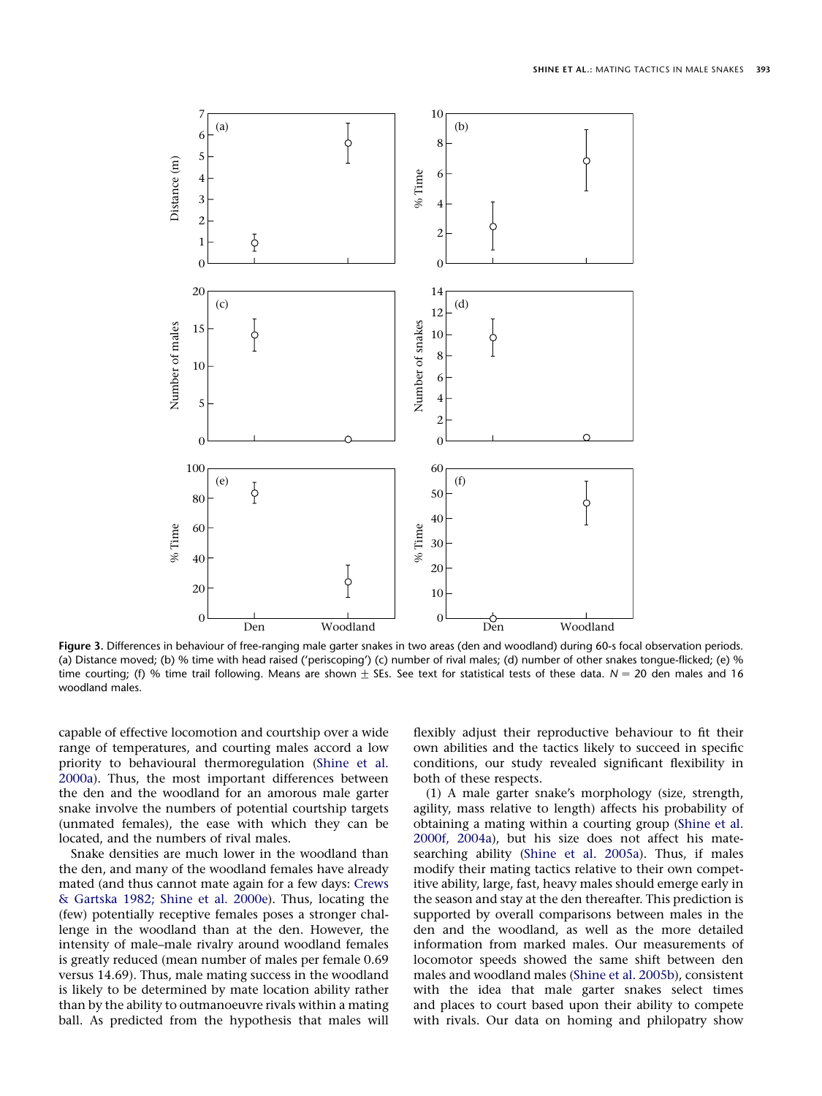<span id="page-6-0"></span>

Figure 3. Differences in behaviour of free-ranging male garter snakes in two areas (den and woodland) during 60-s focal observation periods. (a) Distance moved; (b) % time with head raised ('periscoping') (c) number of rival males; (d) number of other snakes tongue-flicked; (e) % time courting; (f) % time trail following. Means are shown  $\pm$  SEs. See text for statistical tests of these data. N = 20 den males and 16 woodland males.

capable of effective locomotion and courtship over a wide range of temperatures, and courting males accord a low priority to behavioural thermoregulation [\(Shine et al.](#page-9-0) [2000a\)](#page-9-0). Thus, the most important differences between the den and the woodland for an amorous male garter snake involve the numbers of potential courtship targets (unmated females), the ease with which they can be located, and the numbers of rival males.

Snake densities are much lower in the woodland than the den, and many of the woodland females have already mated (and thus cannot mate again for a few days: [Crews](#page-8-0) [& Gartska 1982; Shine et al. 2000e](#page-8-0)). Thus, locating the (few) potentially receptive females poses a stronger challenge in the woodland than at the den. However, the intensity of male–male rivalry around woodland females is greatly reduced (mean number of males per female 0.69 versus 14.69). Thus, male mating success in the woodland is likely to be determined by mate location ability rather than by the ability to outmanoeuvre rivals within a mating ball. As predicted from the hypothesis that males will

flexibly adjust their reproductive behaviour to fit their own abilities and the tactics likely to succeed in specific conditions, our study revealed significant flexibility in both of these respects.

(1) A male garter snake's morphology (size, strength, agility, mass relative to length) affects his probability of obtaining a mating within a courting group [\(Shine et al.](#page-9-0) [2000f, 2004a](#page-9-0)), but his size does not affect his matesearching ability ([Shine et al. 2005a](#page-9-0)). Thus, if males modify their mating tactics relative to their own competitive ability, large, fast, heavy males should emerge early in the season and stay at the den thereafter. This prediction is supported by overall comparisons between males in the den and the woodland, as well as the more detailed information from marked males. Our measurements of locomotor speeds showed the same shift between den males and woodland males ([Shine et al. 2005b\)](#page-9-0), consistent with the idea that male garter snakes select times and places to court based upon their ability to compete with rivals. Our data on homing and philopatry show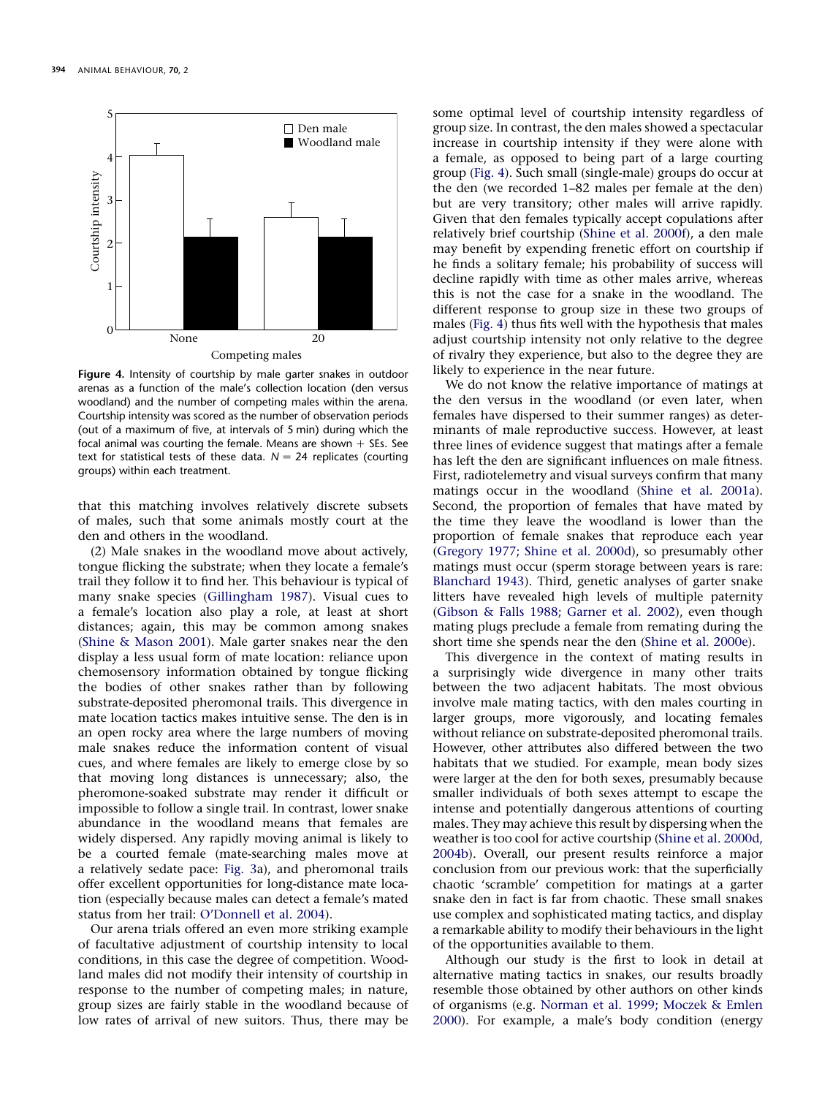<span id="page-7-0"></span>

Figure 4. Intensity of courtship by male garter snakes in outdoor arenas as a function of the male's collection location (den versus woodland) and the number of competing males within the arena. Courtship intensity was scored as the number of observation periods (out of a maximum of five, at intervals of 5 min) during which the focal animal was courting the female. Means are shown  $+$  SEs. See text for statistical tests of these data.  $N = 24$  replicates (courting groups) within each treatment.

that this matching involves relatively discrete subsets of males, such that some animals mostly court at the den and others in the woodland.

(2) Male snakes in the woodland move about actively, tongue flicking the substrate; when they locate a female's trail they follow it to find her. This behaviour is typical of many snake species [\(Gillingham 1987](#page-8-0)). Visual cues to a female's location also play a role, at least at short distances; again, this may be common among snakes ([Shine & Mason 2001\)](#page-9-0). Male garter snakes near the den display a less usual form of mate location: reliance upon chemosensory information obtained by tongue flicking the bodies of other snakes rather than by following substrate-deposited pheromonal trails. This divergence in mate location tactics makes intuitive sense. The den is in an open rocky area where the large numbers of moving male snakes reduce the information content of visual cues, and where females are likely to emerge close by so that moving long distances is unnecessary; also, the pheromone-soaked substrate may render it difficult or impossible to follow a single trail. In contrast, lower snake abundance in the woodland means that females are widely dispersed. Any rapidly moving animal is likely to be a courted female (mate-searching males move at a relatively sedate pace: [Fig. 3](#page-6-0)a), and pheromonal trails offer excellent opportunities for long-distance mate location (especially because males can detect a female's mated status from her trail: [O'Donnell et al. 2004](#page-9-0)).

Our arena trials offered an even more striking example of facultative adjustment of courtship intensity to local conditions, in this case the degree of competition. Woodland males did not modify their intensity of courtship in response to the number of competing males; in nature, group sizes are fairly stable in the woodland because of low rates of arrival of new suitors. Thus, there may be

some optimal level of courtship intensity regardless of group size. In contrast, the den males showed a spectacular increase in courtship intensity if they were alone with a female, as opposed to being part of a large courting group (Fig. 4). Such small (single-male) groups do occur at the den (we recorded 1–82 males per female at the den) but are very transitory; other males will arrive rapidly. Given that den females typically accept copulations after relatively brief courtship ([Shine et al. 2000f](#page-9-0)), a den male may benefit by expending frenetic effort on courtship if he finds a solitary female; his probability of success will decline rapidly with time as other males arrive, whereas this is not the case for a snake in the woodland. The different response to group size in these two groups of males (Fig. 4) thus fits well with the hypothesis that males adjust courtship intensity not only relative to the degree of rivalry they experience, but also to the degree they are likely to experience in the near future.

We do not know the relative importance of matings at the den versus in the woodland (or even later, when females have dispersed to their summer ranges) as determinants of male reproductive success. However, at least three lines of evidence suggest that matings after a female has left the den are significant influences on male fitness. First, radiotelemetry and visual surveys confirm that many matings occur in the woodland [\(Shine et al. 2001a](#page-9-0)). Second, the proportion of females that have mated by the time they leave the woodland is lower than the proportion of female snakes that reproduce each year ([Gregory 1977; Shine et al. 2000d](#page-8-0)), so presumably other matings must occur (sperm storage between years is rare: [Blanchard 1943\)](#page-8-0). Third, genetic analyses of garter snake litters have revealed high levels of multiple paternity ([Gibson & Falls 1988; Garner et al. 2002](#page-8-0)), even though mating plugs preclude a female from remating during the short time she spends near the den [\(Shine et al. 2000e\)](#page-9-0).

This divergence in the context of mating results in a surprisingly wide divergence in many other traits between the two adjacent habitats. The most obvious involve male mating tactics, with den males courting in larger groups, more vigorously, and locating females without reliance on substrate-deposited pheromonal trails. However, other attributes also differed between the two habitats that we studied. For example, mean body sizes were larger at the den for both sexes, presumably because smaller individuals of both sexes attempt to escape the intense and potentially dangerous attentions of courting males. They may achieve this result by dispersing when the weather is too cool for active courtship [\(Shine et al. 2000d,](#page-9-0) [2004b](#page-9-0)). Overall, our present results reinforce a major conclusion from our previous work: that the superficially chaotic 'scramble' competition for matings at a garter snake den in fact is far from chaotic. These small snakes use complex and sophisticated mating tactics, and display a remarkable ability to modify their behaviours in the light of the opportunities available to them.

Although our study is the first to look in detail at alternative mating tactics in snakes, our results broadly resemble those obtained by other authors on other kinds of organisms (e.g. [Norman et al. 1999; Moczek & Emlen](#page-9-0) [2000](#page-9-0)). For example, a male's body condition (energy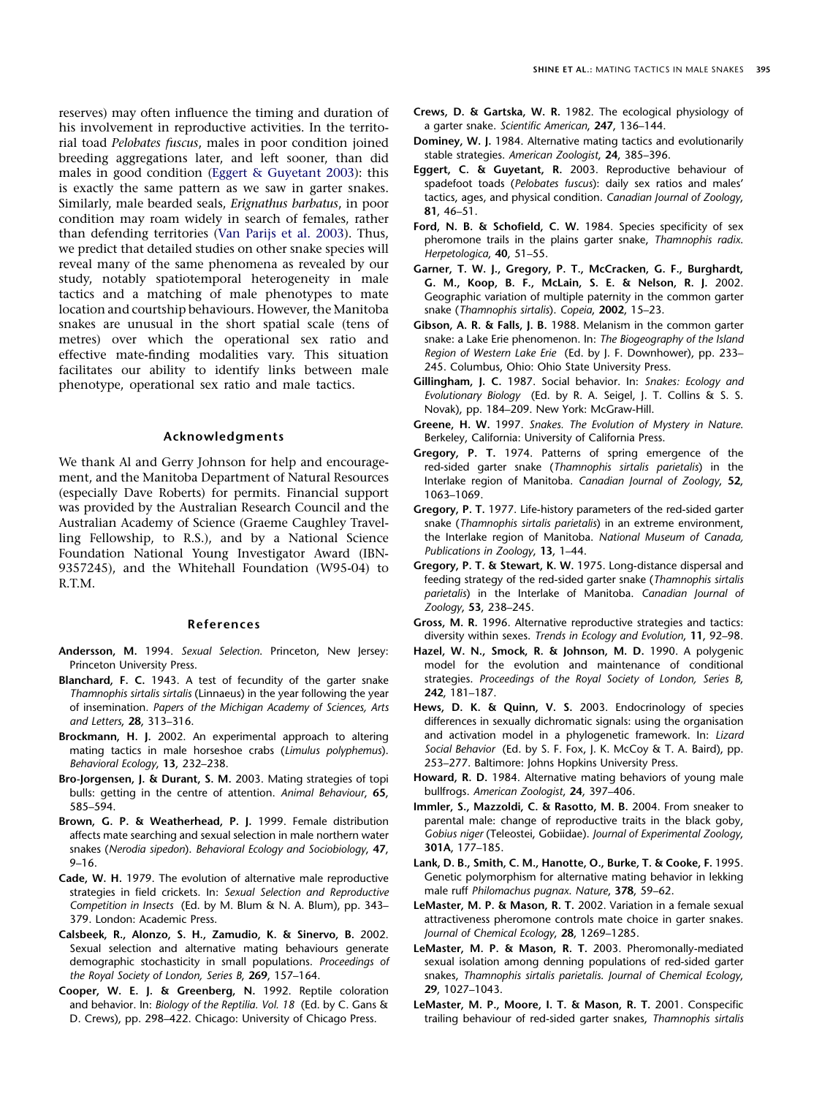<span id="page-8-0"></span>reserves) may often influence the timing and duration of his involvement in reproductive activities. In the territorial toad Pelobates fuscus, males in poor condition joined breeding aggregations later, and left sooner, than did males in good condition (Eggert & Guyetant 2003): this is exactly the same pattern as we saw in garter snakes. Similarly, male bearded seals, Erignathus barbatus, in poor condition may roam widely in search of females, rather than defending territories ([Van Parijs et al. 2003](#page-9-0)). Thus, we predict that detailed studies on other snake species will reveal many of the same phenomena as revealed by our study, notably spatiotemporal heterogeneity in male tactics and a matching of male phenotypes to mate location and courtship behaviours. However, the Manitoba snakes are unusual in the short spatial scale (tens of metres) over which the operational sex ratio and effective mate-finding modalities vary. This situation facilitates our ability to identify links between male phenotype, operational sex ratio and male tactics.

#### Acknowledgments

We thank Al and Gerry Johnson for help and encouragement, and the Manitoba Department of Natural Resources (especially Dave Roberts) for permits. Financial support was provided by the Australian Research Council and the Australian Academy of Science (Graeme Caughley Travelling Fellowship, to R.S.), and by a National Science Foundation National Young Investigator Award (IBN-9357245), and the Whitehall Foundation (W95-04) to R.T.M.

#### References

- Andersson, M. 1994. Sexual Selection. Princeton, New Jersey: Princeton University Press.
- Blanchard, F. C. 1943. A test of fecundity of the garter snake Thamnophis sirtalis sirtalis (Linnaeus) in the year following the year of insemination. Papers of the Michigan Academy of Sciences, Arts and Letters, 28, 313–316.
- Brockmann, H. J. 2002. An experimental approach to altering mating tactics in male horseshoe crabs (Limulus polyphemus). Behavioral Ecology, 13, 232–238.
- Bro-Jorgensen, J. & Durant, S. M. 2003. Mating strategies of topi bulls: getting in the centre of attention. Animal Behaviour, 65, 585–594.
- Brown, G. P. & Weatherhead, P. J. 1999. Female distribution affects mate searching and sexual selection in male northern water snakes (Nerodia sipedon). Behavioral Ecology and Sociobiology, 47, 9–16.
- Cade, W. H. 1979. The evolution of alternative male reproductive strategies in field crickets. In: Sexual Selection and Reproductive Competition in Insects (Ed. by M. Blum & N. A. Blum), pp. 343– 379. London: Academic Press.
- Calsbeek, R., Alonzo, S. H., Zamudio, K. & Sinervo, B. 2002. Sexual selection and alternative mating behaviours generate demographic stochasticity in small populations. Proceedings of the Royal Society of London, Series B, 269, 157–164.
- Cooper, W. E. J. & Greenberg, N. 1992. Reptile coloration and behavior. In: Biology of the Reptilia. Vol. 18 (Ed. by C. Gans & D. Crews), pp. 298–422. Chicago: University of Chicago Press.
- Crews, D. & Gartska, W. R. 1982. The ecological physiology of a garter snake. Scientific American, 247, 136–144.
- Dominey, W. J. 1984. Alternative mating tactics and evolutionarily stable strategies. American Zoologist, 24, 385–396.
- Eggert, C. & Guyetant, R. 2003. Reproductive behaviour of spadefoot toads (Pelobates fuscus): daily sex ratios and males' tactics, ages, and physical condition. Canadian Journal of Zoology, 81, 46–51.
- Ford, N. B. & Schofield, C. W. 1984. Species specificity of sex pheromone trails in the plains garter snake, Thamnophis radix. Herpetologica, 40, 51–55.
- Garner, T. W. J., Gregory, P. T., McCracken, G. F., Burghardt, G. M., Koop, B. F., McLain, S. E. & Nelson, R. J. 2002. Geographic variation of multiple paternity in the common garter snake (Thamnophis sirtalis). Copeia, 2002, 15–23.
- Gibson, A. R. & Falls, J. B. 1988. Melanism in the common garter snake: a Lake Erie phenomenon. In: The Biogeography of the Island Region of Western Lake Erie (Ed. by J. F. Downhower), pp. 233– 245. Columbus, Ohio: Ohio State University Press.
- Gillingham, J. C. 1987. Social behavior. In: Snakes: Ecology and Evolutionary Biology (Ed. by R. A. Seigel, J. T. Collins & S. S. Novak), pp. 184–209. New York: McGraw-Hill.
- Greene, H. W. 1997. Snakes. The Evolution of Mystery in Nature. Berkeley, California: University of California Press.
- Gregory, P. T. 1974. Patterns of spring emergence of the red-sided garter snake (Thamnophis sirtalis parietalis) in the Interlake region of Manitoba. Canadian Journal of Zoology, 52, 1063–1069.
- Gregory, P. T. 1977. Life-history parameters of the red-sided garter snake (Thamnophis sirtalis parietalis) in an extreme environment, the Interlake region of Manitoba. National Museum of Canada, Publications in Zoology, 13, 1–44.
- Gregory, P. T. & Stewart, K. W. 1975. Long-distance dispersal and feeding strategy of the red-sided garter snake (Thamnophis sirtalis parietalis) in the Interlake of Manitoba. Canadian Journal of Zoology, 53, 238–245.
- Gross, M. R. 1996. Alternative reproductive strategies and tactics: diversity within sexes. Trends in Ecology and Evolution, 11, 92–98.
- Hazel, W. N., Smock, R. & Johnson, M. D. 1990. A polygenic model for the evolution and maintenance of conditional strategies. Proceedings of the Royal Society of London, Series B, 242, 181–187.
- Hews, D. K. & Quinn, V. S. 2003. Endocrinology of species differences in sexually dichromatic signals: using the organisation and activation model in a phylogenetic framework. In: Lizard Social Behavior (Ed. by S. F. Fox, I. K. McCov & T. A. Baird), pp. 253–277. Baltimore: Johns Hopkins University Press.
- Howard, R. D. 1984. Alternative mating behaviors of young male bullfrogs. American Zoologist, 24, 397–406.
- Immler, S., Mazzoldi, C. & Rasotto, M. B. 2004. From sneaker to parental male: change of reproductive traits in the black goby, Gobius niger (Teleostei, Gobiidae). Journal of Experimental Zoology, 301A, 177–185.
- Lank, D. B., Smith, C. M., Hanotte, O., Burke, T. & Cooke, F. 1995. Genetic polymorphism for alternative mating behavior in lekking male ruff Philomachus pugnax. Nature, 378, 59–62.
- LeMaster, M. P. & Mason, R. T. 2002. Variation in a female sexual attractiveness pheromone controls mate choice in garter snakes. Journal of Chemical Ecology, 28, 1269-1285.
- LeMaster, M. P. & Mason, R. T. 2003. Pheromonally-mediated sexual isolation among denning populations of red-sided garter snakes, Thamnophis sirtalis parietalis. Journal of Chemical Ecology, 29, 1027–1043.
- LeMaster, M. P., Moore, I. T. & Mason, R. T. 2001. Conspecific trailing behaviour of red-sided garter snakes, Thamnophis sirtalis